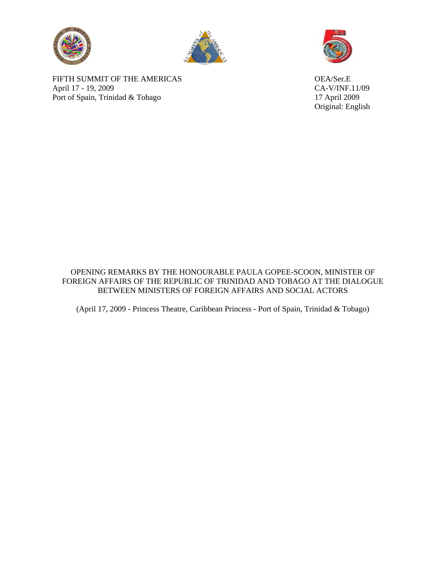



FIFTH SUMMIT OF THE AMERICAS OEA/Ser.E April 17 - 19, 2009<br>
Port of Spain, Trinidad & Tobago<br>
17 April 2009 Port of Spain, Trinidad  $&$  Tobago



Original: English

OPENING REMARKS BY THE HONOURABLE PAULA GOPEE-SCOON, MINISTER OF FOREIGN AFFAIRS OF THE REPUBLIC OF TRINIDAD AND TOBAGO AT THE DIALOGUE BETWEEN MINISTERS OF FOREIGN AFFAIRS AND SOCIAL ACTORS

(April 17, 2009 - Princess Theatre, Caribbean Princess - Port of Spain, Trinidad & Tobago)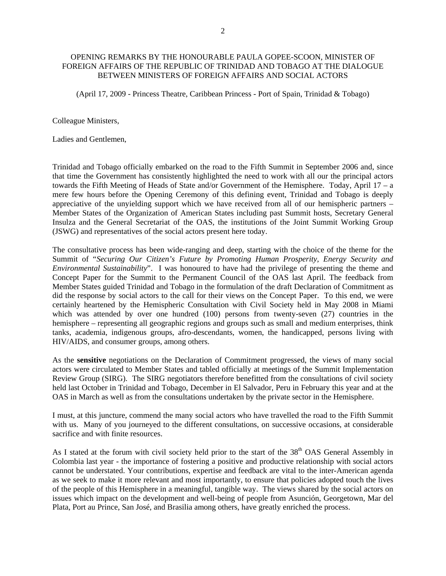## OPENING REMARKS BY THE HONOURABLE PAULA GOPEE-SCOON, MINISTER OF FOREIGN AFFAIRS OF THE REPUBLIC OF TRINIDAD AND TOBAGO AT THE DIALOGUE BETWEEN MINISTERS OF FOREIGN AFFAIRS AND SOCIAL ACTORS

(April 17, 2009 - Princess Theatre, Caribbean Princess - Port of Spain, Trinidad & Tobago)

Colleague Ministers,

Ladies and Gentlemen,

Trinidad and Tobago officially embarked on the road to the Fifth Summit in September 2006 and, since that time the Government has consistently highlighted the need to work with all our the principal actors towards the Fifth Meeting of Heads of State and/or Government of the Hemisphere. Today, April 17 – a mere few hours before the Opening Ceremony of this defining event, Trinidad and Tobago is deeply appreciative of the unyielding support which we have received from all of our hemispheric partners – Member States of the Organization of American States including past Summit hosts, Secretary General Insulza and the General Secretariat of the OAS, the institutions of the Joint Summit Working Group (JSWG) and representatives of the social actors present here today.

The consultative process has been wide-ranging and deep, starting with the choice of the theme for the Summit of "*Securing Our Citizen's Future by Promoting Human Prosperity, Energy Security and Environmental Sustainability*". I was honoured to have had the privilege of presenting the theme and Concept Paper for the Summit to the Permanent Council of the OAS last April. The feedback from Member States guided Trinidad and Tobago in the formulation of the draft Declaration of Commitment as did the response by social actors to the call for their views on the Concept Paper. To this end, we were certainly heartened by the Hemispheric Consultation with Civil Society held in May 2008 in Miami which was attended by over one hundred (100) persons from twenty-seven (27) countries in the hemisphere – representing all geographic regions and groups such as small and medium enterprises, think tanks, academia, indigenous groups, afro-descendants, women, the handicapped, persons living with HIV/AIDS, and consumer groups, among others.

As the **sensitive** negotiations on the Declaration of Commitment progressed, the views of many social actors were circulated to Member States and tabled officially at meetings of the Summit Implementation Review Group (SIRG). The SIRG negotiators therefore benefitted from the consultations of civil society held last October in Trinidad and Tobago, December in El Salvador, Peru in February this year and at the OAS in March as well as from the consultations undertaken by the private sector in the Hemisphere.

I must, at this juncture, commend the many social actors who have travelled the road to the Fifth Summit with us. Many of you journeyed to the different consultations, on successive occasions, at considerable sacrifice and with finite resources.

As I stated at the forum with civil society held prior to the start of the 38<sup>th</sup> OAS General Assembly in Colombia last year - the importance of fostering a positive and productive relationship with social actors cannot be understated. Your contributions, expertise and feedback are vital to the inter-American agenda as we seek to make it more relevant and most importantly, to ensure that policies adopted touch the lives of the people of this Hemisphere in a meaningful, tangible way. The views shared by the social actors on issues which impact on the development and well-being of people from Asunción, Georgetown, Mar del Plata, Port au Prince, San José, and Brasilia among others, have greatly enriched the process.